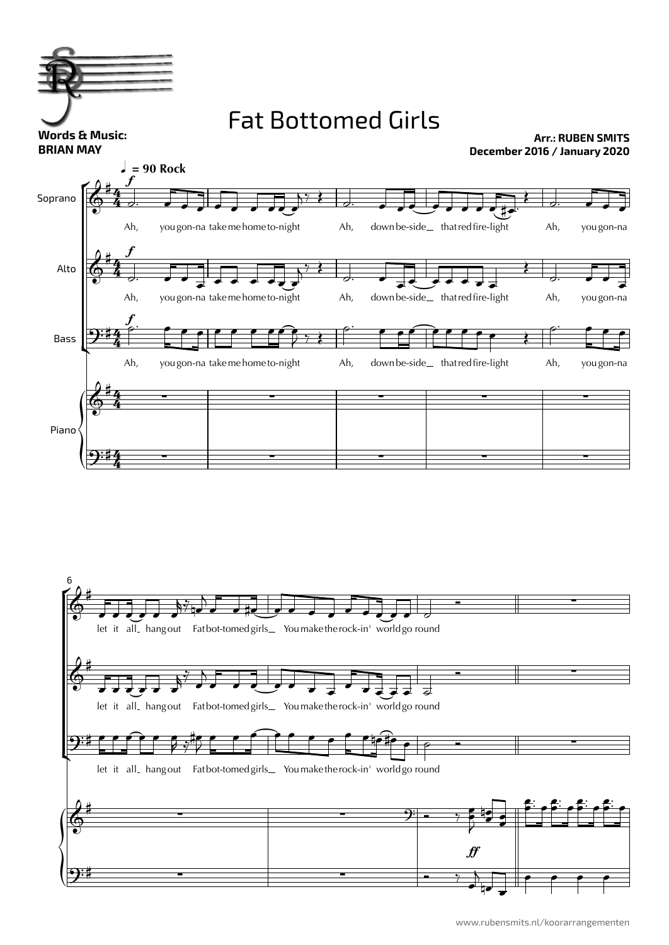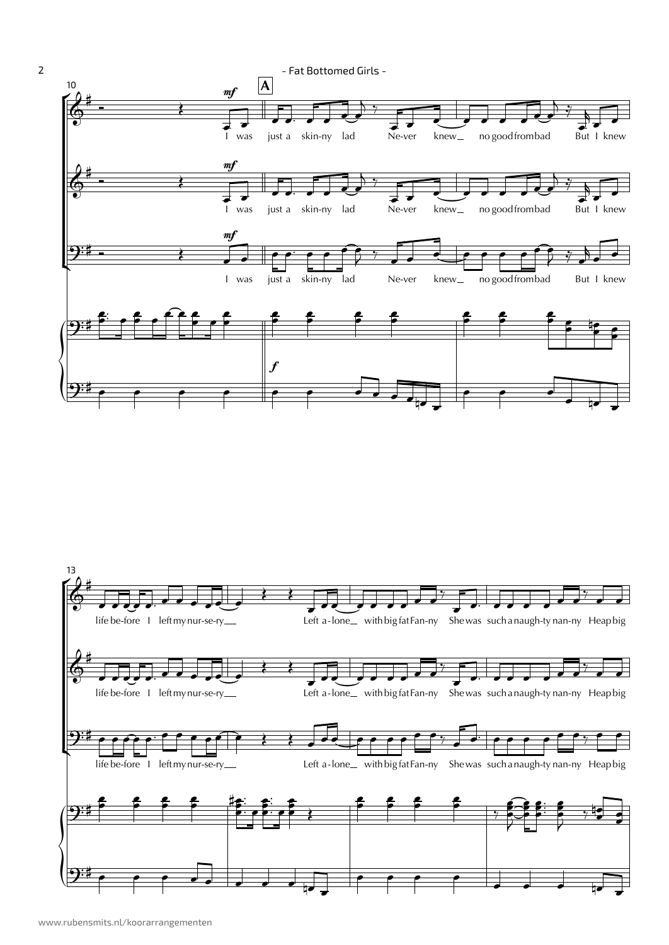

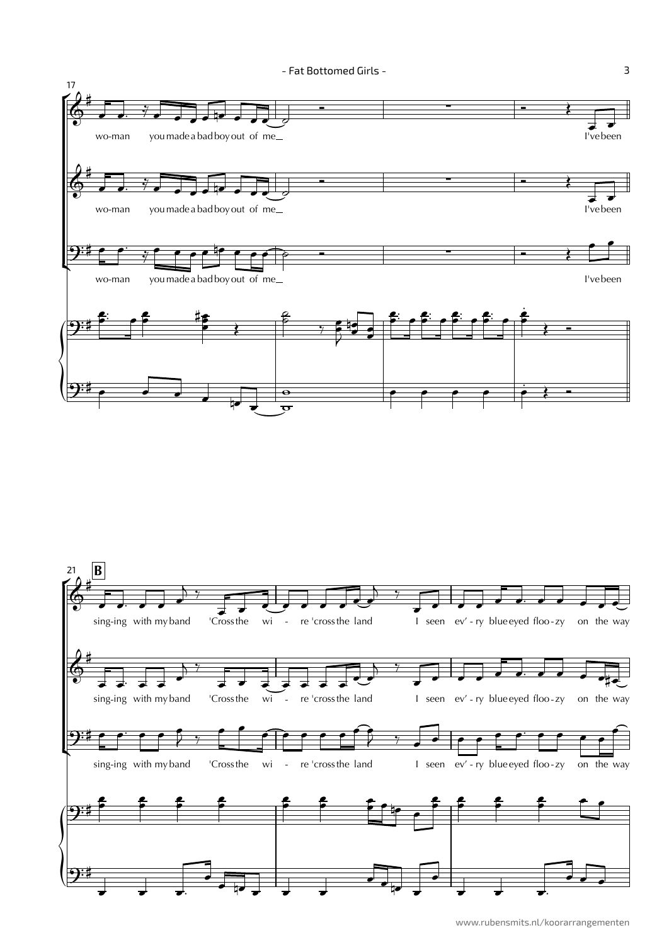



3